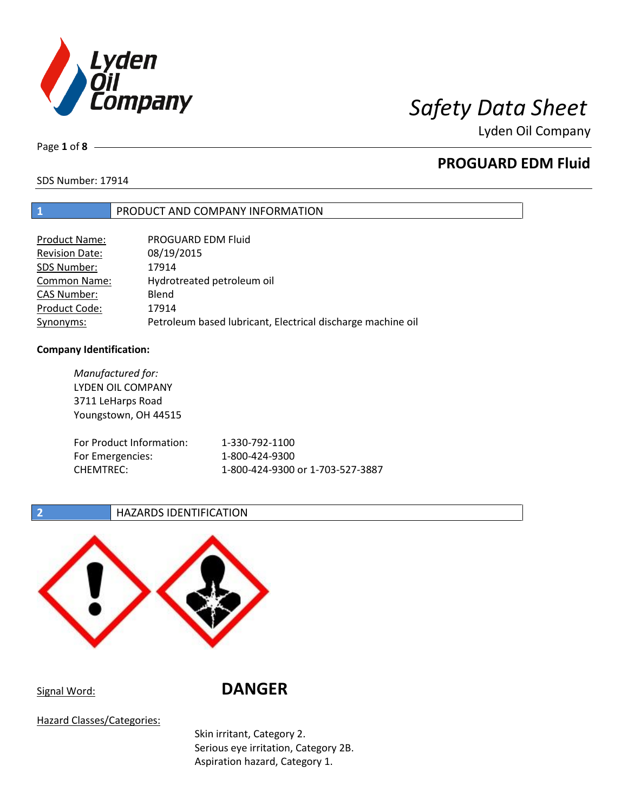

Page **1** of **8**

# **PROGUARD EDM Fluid**

SDS Number: 17914

## **1** PRODUCT AND COMPANY INFORMATION

| Product Name:         | PROGUARD EDM Fluid                                          |
|-----------------------|-------------------------------------------------------------|
| <b>Revision Date:</b> | 08/19/2015                                                  |
| SDS Number:           | 17914                                                       |
| <b>Common Name:</b>   | Hydrotreated petroleum oil                                  |
| <b>CAS Number:</b>    | Blend                                                       |
| Product Code:         | 17914                                                       |
| Synonyms:             | Petroleum based lubricant, Electrical discharge machine oil |

### **Company Identification:**

| Manufactured for:        |                                  |
|--------------------------|----------------------------------|
| LYDEN OIL COMPANY        |                                  |
| 3711 LeHarps Road        |                                  |
| Youngstown, OH 44515     |                                  |
|                          |                                  |
| For Product Information: | 1-330-792-1100                   |
| For Emergencies:         | 1-800-424-9300                   |
| CHEMTREC:                | 1-800-424-9300 or 1-703-527-3887 |
|                          |                                  |

**2 HAZARDS IDENTIFICATION** 



Signal Word: **DANGER**

Hazard Classes/Categories:

Skin irritant, Category 2. Serious eye irritation, Category 2B. Aspiration hazard, Category 1.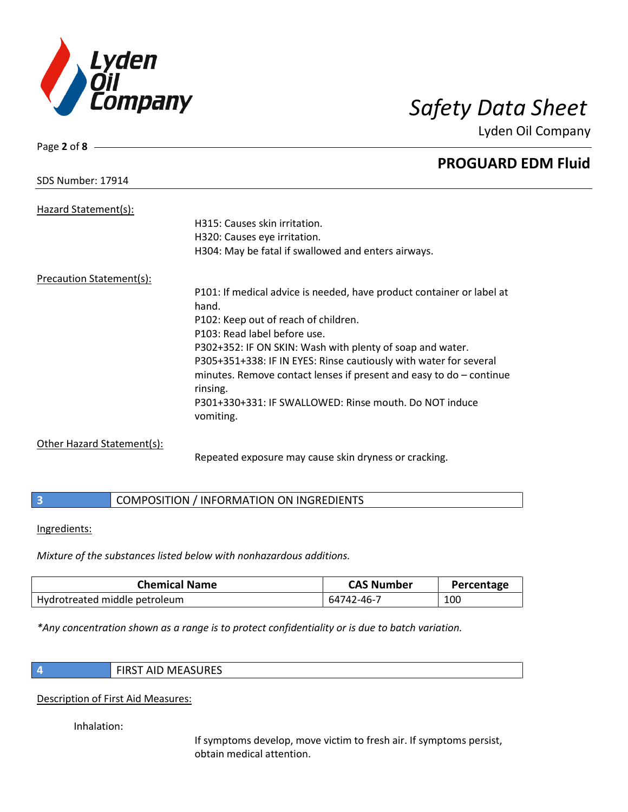

# Page **2** of **8 PROGUARD EDM Fluid** SDS Number: 17914 Hazard Statement(s): H315: Causes skin irritation. H320: Causes eye irritation. H304: May be fatal if swallowed and enters airways. Precaution Statement(s): P101: If medical advice is needed, have product container or label at hand. P102: Keep out of reach of children. P103: Read label before use. P302+352: IF ON SKIN: Wash with plenty of soap and water. P305+351+338: IF IN EYES: Rinse cautiously with water for several minutes. Remove contact lenses if present and easy to do – continue rinsing. P301+330+331: IF SWALLOWED: Rinse mouth. Do NOT induce vomiting. Other Hazard Statement(s):

Repeated exposure may cause skin dryness or cracking.

## **3** COMPOSITION / INFORMATION ON INGREDIENTS

Ingredients:

*Mixture of the substances listed below with nonhazardous additions.*

| <b>Chemical Name</b>          | <b>CAS Number</b> | Percentage |
|-------------------------------|-------------------|------------|
| Hydrotreated middle petroleum | 64742-46-7        | 100        |

*\*Any concentration shown as a range is to protect confidentiality or is due to batch variation.*

|   | ۰. |  |
|---|----|--|
|   |    |  |
| . |    |  |
|   |    |  |
|   |    |  |

**4** FIRST AID MEASURES

Description of First Aid Measures:

Inhalation:

If symptoms develop, move victim to fresh air. If symptoms persist, obtain medical attention.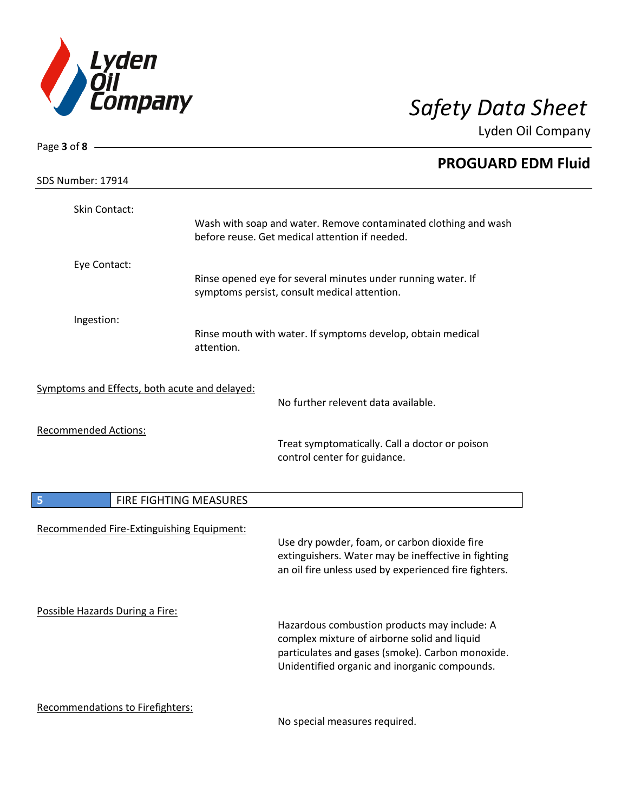

| Page 3 of 8 -                                 |                        |                                                                                                                                                              |
|-----------------------------------------------|------------------------|--------------------------------------------------------------------------------------------------------------------------------------------------------------|
|                                               |                        | <b>PROGUARD EDM Fluid</b>                                                                                                                                    |
| SDS Number: 17914                             |                        |                                                                                                                                                              |
| Skin Contact:                                 |                        |                                                                                                                                                              |
|                                               |                        | Wash with soap and water. Remove contaminated clothing and wash<br>before reuse. Get medical attention if needed.                                            |
| Eye Contact:                                  |                        |                                                                                                                                                              |
|                                               |                        | Rinse opened eye for several minutes under running water. If<br>symptoms persist, consult medical attention.                                                 |
| Ingestion:                                    |                        |                                                                                                                                                              |
|                                               | attention.             | Rinse mouth with water. If symptoms develop, obtain medical                                                                                                  |
| Symptoms and Effects, both acute and delayed: |                        |                                                                                                                                                              |
|                                               |                        | No further relevent data available.                                                                                                                          |
| <b>Recommended Actions:</b>                   |                        | Treat symptomatically. Call a doctor or poison<br>control center for guidance.                                                                               |
|                                               |                        |                                                                                                                                                              |
| 5                                             | FIRE FIGHTING MEASURES |                                                                                                                                                              |
| Recommended Fire-Extinguishing Equipment:     |                        |                                                                                                                                                              |
|                                               |                        | Use dry powder, foam, or carbon dioxide fire<br>extinguishers. Water may be ineffective in fighting<br>an oil fire unless used by experienced fire fighters. |
| Possible Hazards During a Fire:               |                        | Hazardous combustion products may include: A                                                                                                                 |
|                                               |                        | complex mixture of airborne solid and liquid                                                                                                                 |
|                                               |                        | particulates and gases (smoke). Carbon monoxide.<br>Unidentified organic and inorganic compounds.                                                            |
| Recommendations to Firefighters:              |                        | No special measures required.                                                                                                                                |
|                                               |                        |                                                                                                                                                              |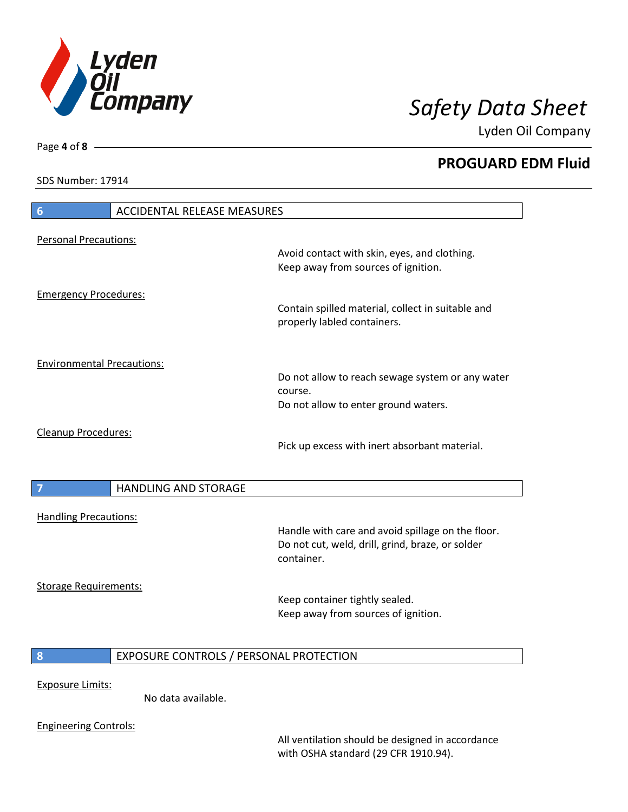

Lyden Oil Company

SDS Number: 17914

Page **4** of **8**

 $\overline{\phantom{a}}$ 

 $\overline{\phantom{a}}$ 

| 6                                 | <b>ACCIDENTAL RELEASE MEASURES</b>      |                                                                                                                     |
|-----------------------------------|-----------------------------------------|---------------------------------------------------------------------------------------------------------------------|
| <b>Personal Precautions:</b>      |                                         |                                                                                                                     |
|                                   |                                         | Avoid contact with skin, eyes, and clothing.<br>Keep away from sources of ignition.                                 |
| <b>Emergency Procedures:</b>      |                                         |                                                                                                                     |
|                                   |                                         | Contain spilled material, collect in suitable and<br>properly labled containers.                                    |
| <b>Environmental Precautions:</b> |                                         |                                                                                                                     |
|                                   |                                         | Do not allow to reach sewage system or any water<br>course.                                                         |
|                                   |                                         | Do not allow to enter ground waters.                                                                                |
| Cleanup Procedures:               |                                         | Pick up excess with inert absorbant material.                                                                       |
| 7                                 | <b>HANDLING AND STORAGE</b>             |                                                                                                                     |
| <b>Handling Precautions:</b>      |                                         |                                                                                                                     |
|                                   |                                         | Handle with care and avoid spillage on the floor.<br>Do not cut, weld, drill, grind, braze, or solder<br>container. |
| <b>Storage Requirements:</b>      |                                         |                                                                                                                     |
|                                   |                                         | Keep container tightly sealed.<br>Keep away from sources of ignition.                                               |
| 8                                 | EXPOSURE CONTROLS / PERSONAL PROTECTION |                                                                                                                     |
| <b>Exposure Limits:</b>           |                                         |                                                                                                                     |
|                                   | No data available.                      |                                                                                                                     |
|                                   |                                         |                                                                                                                     |

All ventilation should be designed in accordance with OSHA standard (29 CFR 1910.94).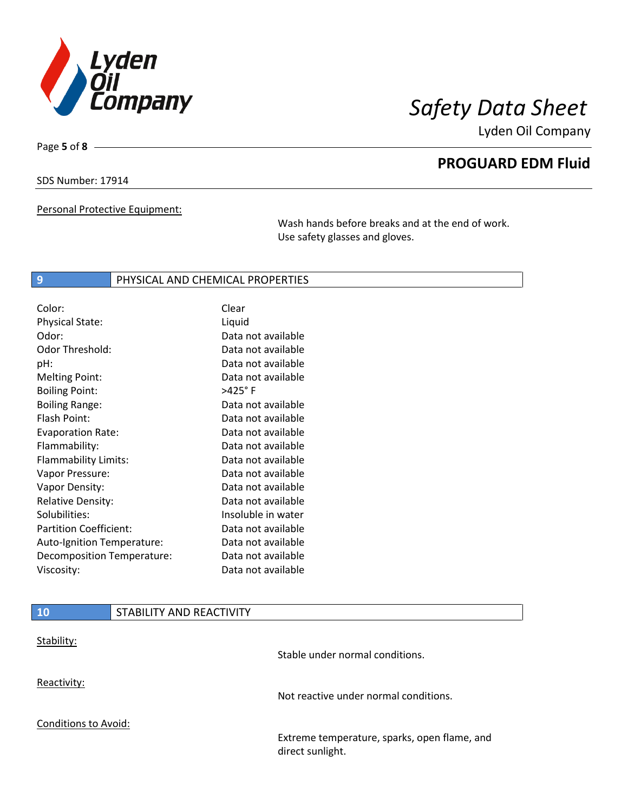

Lyden Oil Company

SDS Number: 17914

Page **5** of **8**

Personal Protective Equipment:

Wash hands before breaks and at the end of work. Use safety glasses and gloves.

### **9** PHYSICAL AND CHEMICAL PROPERTIES

| Color:                        | Clear              |
|-------------------------------|--------------------|
| Physical State:               | Liquid             |
| Odor:                         | Data not available |
| Odor Threshold:               | Data not available |
| pH:                           | Data not available |
| <b>Melting Point:</b>         | Data not available |
| <b>Boiling Point:</b>         | $>425^\circ$ F     |
| <b>Boiling Range:</b>         | Data not available |
| Flash Point:                  | Data not available |
| <b>Evaporation Rate:</b>      | Data not available |
| Flammability:                 | Data not available |
| Flammability Limits:          | Data not available |
| Vapor Pressure:               | Data not available |
| Vapor Density:                | Data not available |
| <b>Relative Density:</b>      | Data not available |
| Solubilities:                 | Insoluble in water |
| <b>Partition Coefficient:</b> | Data not available |
| Auto-Ignition Temperature:    | Data not available |
| Decomposition Temperature:    | Data not available |
| Viscosity:                    | Data not available |

# **10** STABILITY AND REACTIVITY Stability: Stable under normal conditions. Reactivity: Not reactive under normal conditions. Conditions to Avoid: Extreme temperature, sparks, open flame, and direct sunlight.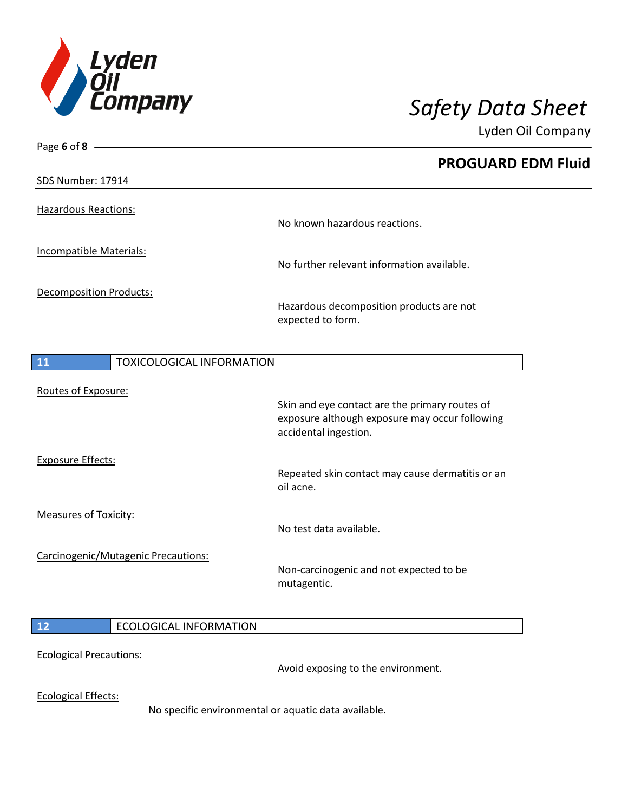

| Page 6 of $8 -$                               |                                                                         |
|-----------------------------------------------|-------------------------------------------------------------------------|
|                                               | <b>PROGUARD EDM Fluid</b>                                               |
| SDS Number: 17914                             |                                                                         |
| <b>Hazardous Reactions:</b>                   |                                                                         |
|                                               | No known hazardous reactions.                                           |
| Incompatible Materials:                       |                                                                         |
|                                               | No further relevant information available.                              |
| <b>Decomposition Products:</b>                |                                                                         |
|                                               | Hazardous decomposition products are not<br>expected to form.           |
| <b>TOXICOLOGICAL INFORMATION</b><br><b>11</b> |                                                                         |
|                                               |                                                                         |
| Routes of Exposure:                           | Skin and eye contact are the primary routes of                          |
|                                               | exposure although exposure may occur following<br>accidental ingestion. |
| <b>Exposure Effects:</b>                      |                                                                         |
|                                               | Repeated skin contact may cause dermatitis or an<br>oil acne.           |
| <b>Measures of Toxicity:</b>                  |                                                                         |
|                                               | No test data available.                                                 |
| Carcinogenic/Mutagenic Precautions:           |                                                                         |
|                                               | Non-carcinogenic and not expected to be<br>mutagentic.                  |
| 12<br><b>ECOLOGICAL INFORMATION</b>           |                                                                         |
|                                               |                                                                         |
| <b>Ecological Precautions:</b>                | Avoid exposing to the environment.                                      |
| <b>Ecological Effects:</b>                    |                                                                         |
|                                               | No specific environmental or aquatic data available.                    |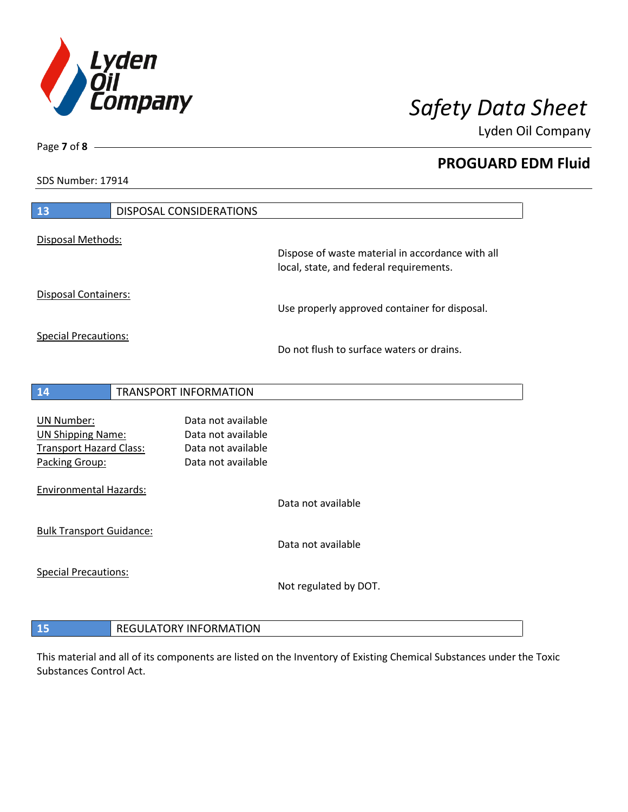

Lyden Oil Company

SDS Number: 17914

Page **7** of **8**

| 13                                                         | <b>DISPOSAL CONSIDERATIONS</b>           |                                                                                             |
|------------------------------------------------------------|------------------------------------------|---------------------------------------------------------------------------------------------|
| Disposal Methods:                                          |                                          |                                                                                             |
|                                                            |                                          | Dispose of waste material in accordance with all<br>local, state, and federal requirements. |
| <b>Disposal Containers:</b>                                |                                          | Use properly approved container for disposal.                                               |
| <b>Special Precautions:</b>                                |                                          | Do not flush to surface waters or drains.                                                   |
| 14                                                         | <b>TRANSPORT INFORMATION</b>             |                                                                                             |
|                                                            |                                          |                                                                                             |
| <b>UN Number:</b>                                          | Data not available<br>Data not available |                                                                                             |
| <b>UN Shipping Name:</b><br><b>Transport Hazard Class:</b> | Data not available                       |                                                                                             |
| Packing Group:                                             | Data not available                       |                                                                                             |
| <b>Environmental Hazards:</b>                              |                                          |                                                                                             |
|                                                            |                                          | Data not available                                                                          |
| <b>Bulk Transport Guidance:</b>                            |                                          |                                                                                             |
|                                                            |                                          | Data not available                                                                          |
| <b>Special Precautions:</b>                                |                                          |                                                                                             |
|                                                            |                                          | Not regulated by DOT.                                                                       |
|                                                            |                                          |                                                                                             |

This material and all of its components are listed on the Inventory of Existing Chemical Substances under the Toxic Substances Control Act.